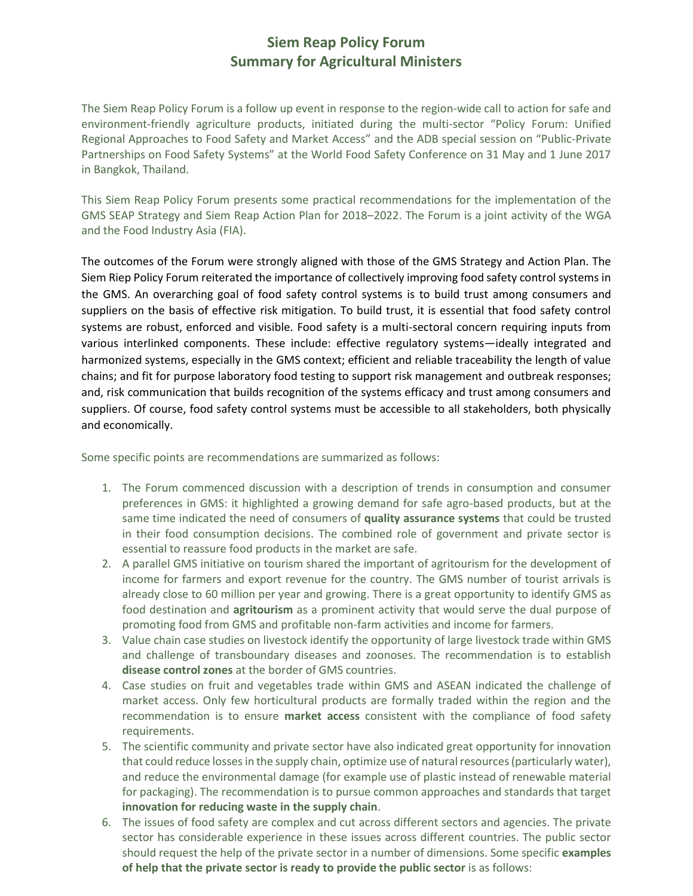## **Siem Reap Policy Forum Summary for Agricultural Ministers**

The Siem Reap Policy Forum is a follow up event in response to the region-wide call to action for safe and environment-friendly agriculture products, initiated during the multi-sector "Policy Forum: Unified Regional Approaches to Food Safety and Market Access" and the ADB special session on "Public-Private Partnerships on Food Safety Systems" at the World Food Safety Conference on 31 May and 1 June 2017 in Bangkok, Thailand.

This Siem Reap Policy Forum presents some practical recommendations for the implementation of the GMS SEAP Strategy and Siem Reap Action Plan for 2018–2022. The Forum is a joint activity of the WGA and the Food Industry Asia (FIA).

The outcomes of the Forum were strongly aligned with those of the GMS Strategy and Action Plan. The Siem Riep Policy Forum reiterated the importance of collectively improving food safety control systems in the GMS. An overarching goal of food safety control systems is to build trust among consumers and suppliers on the basis of effective risk mitigation. To build trust, it is essential that food safety control systems are robust, enforced and visible. Food safety is a multi-sectoral concern requiring inputs from various interlinked components. These include: effective regulatory systems—ideally integrated and harmonized systems, especially in the GMS context; efficient and reliable traceability the length of value chains; and fit for purpose laboratory food testing to support risk management and outbreak responses; and, risk communication that builds recognition of the systems efficacy and trust among consumers and suppliers. Of course, food safety control systems must be accessible to all stakeholders, both physically and economically.

Some specific points are recommendations are summarized as follows:

- 1. The Forum commenced discussion with a description of trends in consumption and consumer preferences in GMS: it highlighted a growing demand for safe agro-based products, but at the same time indicated the need of consumers of **quality assurance systems** that could be trusted in their food consumption decisions. The combined role of government and private sector is essential to reassure food products in the market are safe.
- 2. A parallel GMS initiative on tourism shared the important of agritourism for the development of income for farmers and export revenue for the country. The GMS number of tourist arrivals is already close to 60 million per year and growing. There is a great opportunity to identify GMS as food destination and **agritourism** as a prominent activity that would serve the dual purpose of promoting food from GMS and profitable non-farm activities and income for farmers.
- 3. Value chain case studies on livestock identify the opportunity of large livestock trade within GMS and challenge of transboundary diseases and zoonoses. The recommendation is to establish **disease control zones** at the border of GMS countries.
- 4. Case studies on fruit and vegetables trade within GMS and ASEAN indicated the challenge of market access. Only few horticultural products are formally traded within the region and the recommendation is to ensure **market access** consistent with the compliance of food safety requirements.
- 5. The scientific community and private sector have also indicated great opportunity for innovation that could reduce losses in the supply chain, optimize use of natural resources (particularly water), and reduce the environmental damage (for example use of plastic instead of renewable material for packaging). The recommendation is to pursue common approaches and standards that target **innovation for reducing waste in the supply chain**.
- 6. The issues of food safety are complex and cut across different sectors and agencies. The private sector has considerable experience in these issues across different countries. The public sector should request the help of the private sector in a number of dimensions. Some specific **examples of help that the private sector is ready to provide the public sector** is as follows: